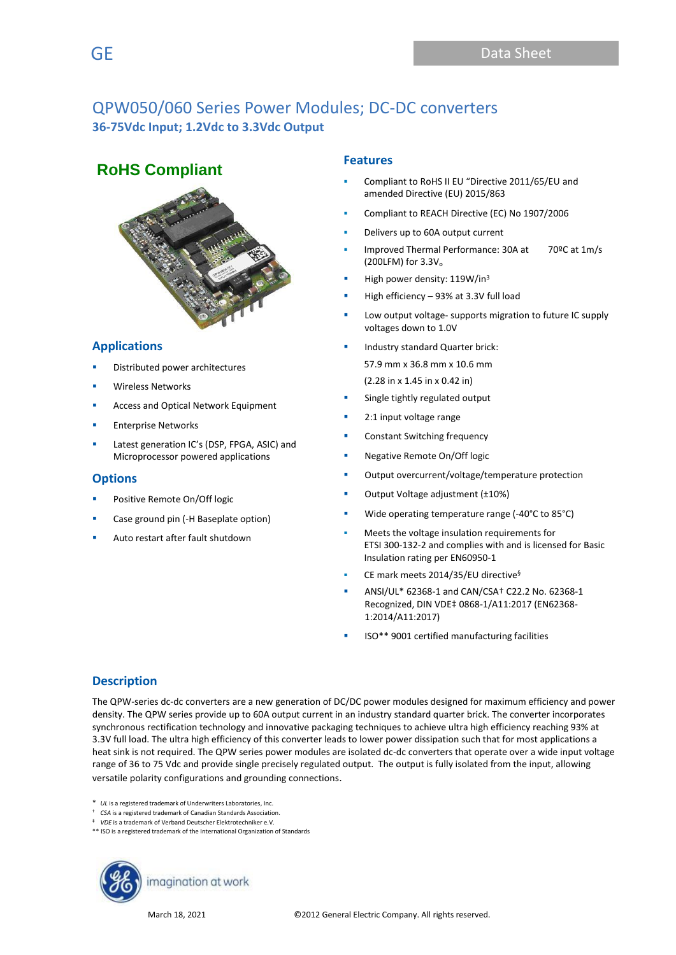### QPW050/060 Series Power Modules; DC-DC converters **36-75Vdc Input; 1.2Vdc to 3.3Vdc Output**

### **RoHS Compliant**



#### **Applications**

- Distributed power architectures
- Wireless Networks
- Access and Optical Network Equipment
- **Enterprise Networks**
- Latest generation IC's (DSP, FPGA, ASIC) and Microprocessor powered applications

#### **Options**

- Positive Remote On/Off logic
- Case ground pin (-H Baseplate option)
- Auto restart after fault shutdown

#### **Features**

- Compliant to RoHS II EU "Directive 2011/65/EU and amended Directive (EU) 2015/863
- Compliant to REACH Directive (EC) No 1907/2006
- Delivers up to 60A output current
- Improved Thermal Performance: 30A at 70°C at 1m/s (200LFM) for  $3.3V<sub>o</sub>$
- High power density: 119W/in<sup>3</sup>
- High efficiency  $-93%$  at 3.3V full load
- Low output voltage- supports migration to future IC supply voltages down to 1.0V
- Industry standard Quarter brick:

57.9 mm x 36.8 mm x 10.6 mm

(2.28 in x 1.45 in x 0.42 in)

- Single tightly regulated output
- 2:1 input voltage range
- Constant Switching frequency
- Negative Remote On/Off logic
- Output overcurrent/voltage/temperature protection
- Output Voltage adjustment (±10%)
- Wide operating temperature range (-40°C to 85°C)
- Meets the voltage insulation requirements for ETSI 300-132-2 and complies with and is licensed for Basic Insulation rating per EN60950-1
- CE mark meets 2014/35/EU directive<sup>§</sup>
- ANSI/UL\* 62368-1 and CAN/CSA† C22.2 No. 62368-1 Recognized, DIN VDE‡ 0868-1/A11:2017 (EN62368- 1:2014/A11:2017)
- ISO\*\* 9001 certified manufacturing facilities

#### **Description**

The QPW-series dc-dc converters are a new generation of DC/DC power modules designed for maximum efficiency and power density. The QPW series provide up to 60A output current in an industry standard quarter brick. The converter incorporates synchronous rectification technology and innovative packaging techniques to achieve ultra high efficiency reaching 93% at 3.3V full load. The ultra high efficiency of this converter leads to lower power dissipation such that for most applications a heat sink is not required. The QPW series power modules are isolated dc-dc converters that operate over a wide input voltage range of 36 to 75 Vdc and provide single precisely regulated output. The output is fully isolated from the input, allowing versatile polarity configurations and grounding connections.

\* *UL* is a registered trademark of Underwriters Laboratories, Inc.

- † *CSA* is a registered trademark of Canadian Standards Association.
- ‡ *VDE* is a trademark of Verband Deutscher Elektrotechniker e.V.
- \*\* ISO is a registered trademark of the International Organization of Standards

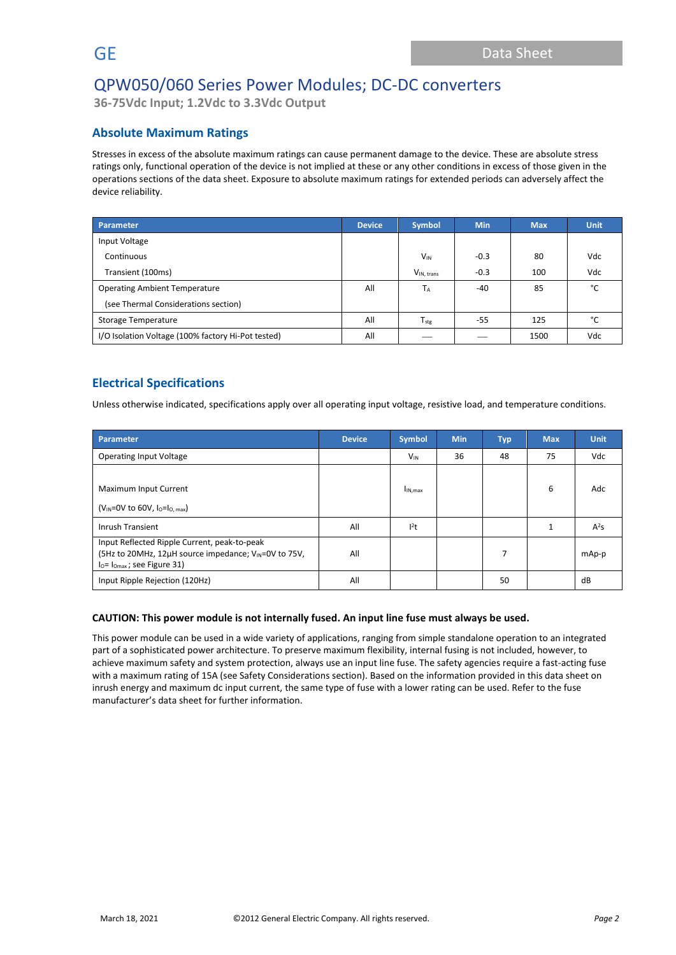**36-75Vdc Input; 1.2Vdc to 3.3Vdc Output**

#### **Absolute Maximum Ratings**

Stresses in excess of the absolute maximum ratings can cause permanent damage to the device. These are absolute stress ratings only, functional operation of the device is not implied at these or any other conditions in excess of those given in the operations sections of the data sheet. Exposure to absolute maximum ratings for extended periods can adversely affect the device reliability.

| Parameter                                          | <b>Device</b> | <b>Symbol</b>    | <b>Min</b> | <b>Max</b> | <b>Unit</b> |
|----------------------------------------------------|---------------|------------------|------------|------------|-------------|
| Input Voltage                                      |               |                  |            |            |             |
| Continuous                                         |               | $V_{IN}$         | $-0.3$     | 80         | Vdc         |
| Transient (100ms)                                  |               | $V_{IN. trans}$  | $-0.3$     | 100        | Vdc         |
| <b>Operating Ambient Temperature</b>               | All           | <b>TA</b>        | -40        | 85         | °C          |
| (see Thermal Considerations section)               |               |                  |            |            |             |
| Storage Temperature                                | All           | $T_{\text{stg}}$ | $-55$      | 125        | °C          |
| I/O Isolation Voltage (100% factory Hi-Pot tested) | All           |                  |            | 1500       | Vdc         |

#### **Electrical Specifications**

Unless otherwise indicated, specifications apply over all operating input voltage, resistive load, and temperature conditions.

| Parameter                                                                                                                                        | <b>Device</b> | <b>Symbol</b>         | <b>Min</b> | <b>Typ</b>     | <b>Max</b> | <b>Unit</b> |
|--------------------------------------------------------------------------------------------------------------------------------------------------|---------------|-----------------------|------------|----------------|------------|-------------|
| <b>Operating Input Voltage</b>                                                                                                                   |               | <b>V<sub>IN</sub></b> | 36         | 48             | 75         | Vdc         |
| Maximum Input Current<br>( $V_{IN}$ =0V to 60V, $I_0$ = $I_{O, max}$ )                                                                           |               | I <sub>IN.max</sub>   |            |                | 6          | Adc         |
| Inrush Transient                                                                                                                                 | All           | l <sup>2</sup> t      |            |                | 1          | $A^2S$      |
| Input Reflected Ripple Current, peak-to-peak<br>(5Hz to 20MHz, 12µH source impedance; V <sub>IN</sub> =0V to 75V,<br>$IO=IOmax$ ; see Figure 31) | All           |                       |            | $\overline{7}$ |            | mAp-p       |
| Input Ripple Rejection (120Hz)                                                                                                                   | All           |                       |            | 50             |            | dB          |

#### **CAUTION: This power module is not internally fused. An input line fuse must always be used.**

This power module can be used in a wide variety of applications, ranging from simple standalone operation to an integrated part of a sophisticated power architecture. To preserve maximum flexibility, internal fusing is not included, however, to achieve maximum safety and system protection, always use an input line fuse. The safety agencies require a fast-acting fuse with a maximum rating of 15A (see Safety Considerations section). Based on the information provided in this data sheet on inrush energy and maximum dc input current, the same type of fuse with a lower rating can be used. Refer to the fuse manufacturer's data sheet for further information.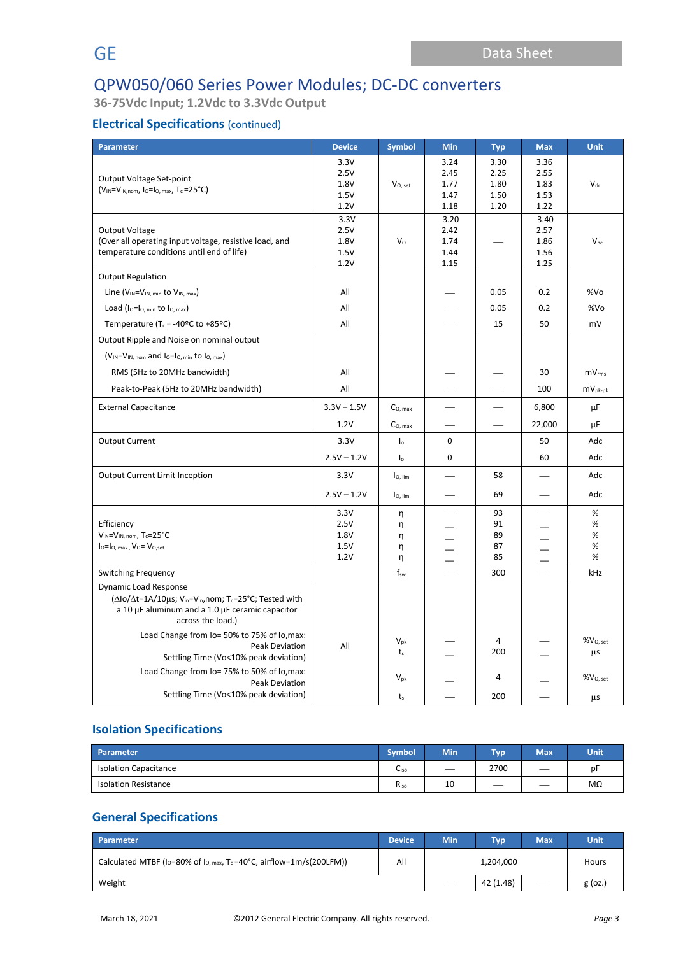**36-75Vdc Input; 1.2Vdc to 3.3Vdc Output**

### **Electrical Specifications** (continued)

| <b>Parameter</b>                                                                                                                                                                                             | <b>Device</b>                        | <b>Symbol</b>           | Min                                  | <b>Typ</b>                           | <b>Max</b>                           | <b>Unit</b>                    |
|--------------------------------------------------------------------------------------------------------------------------------------------------------------------------------------------------------------|--------------------------------------|-------------------------|--------------------------------------|--------------------------------------|--------------------------------------|--------------------------------|
| <b>Output Voltage Set-point</b><br>$(V_{IN} = V_{IN,nom}$ , $I_0 = I_0$ , max, $T_c = 25°C$                                                                                                                  | 3.3V<br>2.5V<br>1.8V<br>1.5V<br>1.2V | $V0$ , set              | 3.24<br>2.45<br>1.77<br>1.47<br>1.18 | 3.30<br>2.25<br>1.80<br>1.50<br>1.20 | 3.36<br>2.55<br>1.83<br>1.53<br>1.22 | $V_{dc}$                       |
| <b>Output Voltage</b><br>(Over all operating input voltage, resistive load, and<br>temperature conditions until end of life)                                                                                 | 3.3V<br>2.5V<br>1.8V<br>1.5V<br>1.2V | V <sub>o</sub>          | 3.20<br>2.42<br>1.74<br>1.44<br>1.15 |                                      | 3.40<br>2.57<br>1.86<br>1.56<br>1.25 | $V_{dc}$                       |
| <b>Output Regulation</b>                                                                                                                                                                                     |                                      |                         |                                      |                                      |                                      |                                |
| Line $(V_{IN} = V_{IN, min}$ to $V_{IN, max}$ )                                                                                                                                                              | All                                  |                         |                                      | 0.05                                 | 0.2                                  | %Vo                            |
| Load ( $I_0 = I_0$ , min to $I_0$ , max)                                                                                                                                                                     | All                                  |                         |                                      | 0.05                                 | 0.2                                  | %Vo                            |
| Temperature (T <sub>c</sub> = -40°C to +85°C)                                                                                                                                                                | All                                  |                         |                                      | 15                                   | 50                                   | mV                             |
| Output Ripple and Noise on nominal output                                                                                                                                                                    |                                      |                         |                                      |                                      |                                      |                                |
| $(V_{IN} = V_{IN, nom}$ and $I_0 = I_0$ , min to $I_0$ , max)                                                                                                                                                |                                      |                         |                                      |                                      |                                      |                                |
| RMS (5Hz to 20MHz bandwidth)                                                                                                                                                                                 | All                                  |                         |                                      |                                      | 30                                   | mV <sub>rms</sub>              |
| Peak-to-Peak (5Hz to 20MHz bandwidth)                                                                                                                                                                        | All                                  |                         |                                      |                                      | 100                                  | $mv_{pk-pk}$                   |
| <b>External Capacitance</b>                                                                                                                                                                                  | $3.3V - 1.5V$                        | $CO$ max                |                                      | $\overline{\phantom{0}}$             | 6,800                                | μF                             |
|                                                                                                                                                                                                              | 1.2V                                 | $CO$ max                |                                      |                                      | 22,000                               | μF                             |
| <b>Output Current</b>                                                                                                                                                                                        | 3.3V                                 | $\mathsf{I}_\mathsf{0}$ | 0                                    |                                      | 50                                   | Adc                            |
|                                                                                                                                                                                                              | $2.5V - 1.2V$                        | $\mathsf{I}^{\circ}$    | $\Omega$                             |                                      | 60                                   | Adc                            |
| <b>Output Current Limit Inception</b>                                                                                                                                                                        | 3.3V                                 | lo, lim                 |                                      | 58                                   |                                      | Adc                            |
|                                                                                                                                                                                                              | $2.5V - 1.2V$                        | lo, lim                 |                                      | 69                                   |                                      | Adc                            |
| Efficiency<br>$V_{IN} = V_{IN, nom}$ , T <sub>c</sub> =25°C<br>$I_0 = I_0$ , max, $V_0 = V_{0,\text{set}}$                                                                                                   | 3.3V<br>2.5V<br>1.8V<br>1.5V<br>1.2V | η<br>η<br>η<br>η<br>η   |                                      | 93<br>91<br>89<br>87<br>85           |                                      | %<br>%<br>$\%$<br>$\%$<br>$\%$ |
| <b>Switching Frequency</b>                                                                                                                                                                                   |                                      | $f_{sw}$                |                                      | 300                                  |                                      | kHz                            |
| <b>Dynamic Load Response</b><br>(ΔIo/Δt=1A/10μs; V <sub>in</sub> =V <sub>in</sub> , nom; T <sub>c</sub> =25°C; Tested with<br>a 10 $\mu$ F aluminum and a 1.0 $\mu$ F ceramic capacitor<br>across the load.) |                                      |                         |                                      |                                      |                                      |                                |
| Load Change from Io= 50% to 75% of Io, max:<br>Peak Deviation<br>Settling Time (Vo<10% peak deviation)                                                                                                       | All                                  | $V_{pk}$<br>$t_s$       |                                      | 4<br>200                             |                                      | $\%V_{\text{O, set}}$<br>μs    |
| Load Change from Io= 75% to 50% of Io, max:<br>Peak Deviation                                                                                                                                                |                                      | $V_{pk}$                |                                      | 4                                    |                                      | %V <sub>O, set</sub>           |
| Settling Time (Vo<10% peak deviation)                                                                                                                                                                        |                                      | $t_s$                   |                                      | 200                                  |                                      | μs                             |

#### **Isolation Specifications**

| <b>Parameter</b>             | <b>Symbol</b> | <b>Min</b> | <b>Tvp</b> | Max <sup>1</sup> | Unit |
|------------------------------|---------------|------------|------------|------------------|------|
| <b>Isolation Capacitance</b> | Liso          |            | 2700       | __               | pF   |
| <b>Isolation Resistance</b>  | $R_{iso}$     | 10         | __         | __               | ΜΩ   |

### **General Specifications**

| Parameter                                                                                     | <b>Device</b> | <b>Min</b> | <b>Tvp</b> | <b>Max</b> | Unit      |
|-----------------------------------------------------------------------------------------------|---------------|------------|------------|------------|-----------|
| Calculated MTBF ( $I_0$ =80% of $I_0$ max, T <sub>c</sub> =40°C, airflow=1m/s(200LFM))<br>All |               |            | 1,204,000  |            | Hours     |
| Weight                                                                                        |               |            | 42 (1.48)  |            | $g$ (oz.) |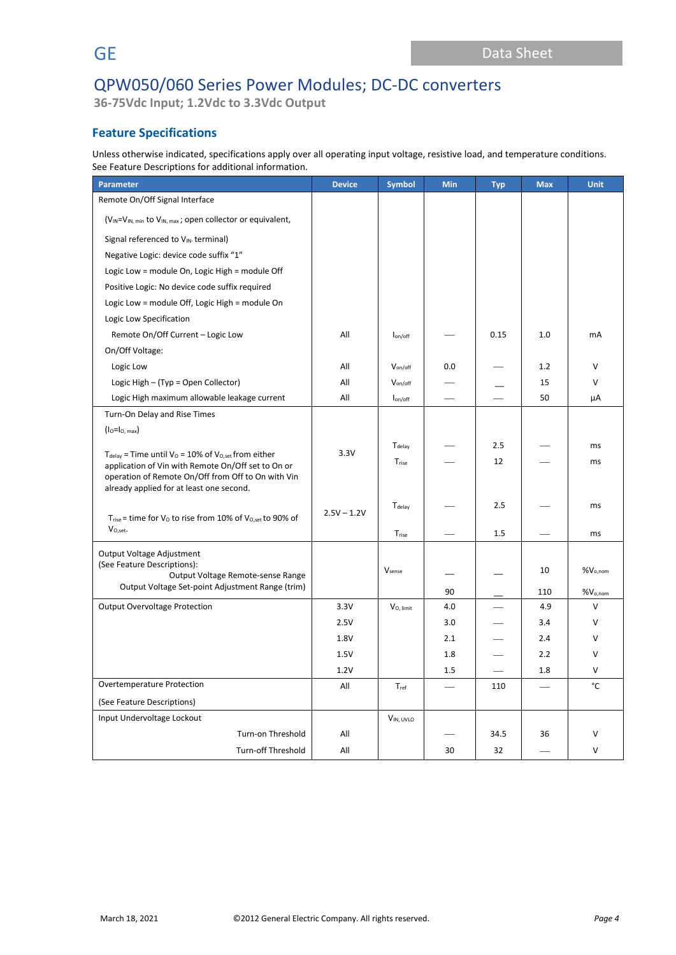**36-75Vdc Input; 1.2Vdc to 3.3Vdc Output**

### **Feature Specifications**

Unless otherwise indicated, specifications apply over all operating input voltage, resistive load, and temperature conditions. See Feature Descriptions for additional information.

| Parameter                                                                                                                           | <b>Device</b> | <b>Symbol</b>       | <b>Min</b> | <b>Typ</b> | <b>Max</b> | <b>Unit</b>  |
|-------------------------------------------------------------------------------------------------------------------------------------|---------------|---------------------|------------|------------|------------|--------------|
| Remote On/Off Signal Interface                                                                                                      |               |                     |            |            |            |              |
| $(V_{IN} = V_{IN, min}$ to $V_{IN, max}$ ; open collector or equivalent,                                                            |               |                     |            |            |            |              |
| Signal referenced to VIN-terminal)                                                                                                  |               |                     |            |            |            |              |
| Negative Logic: device code suffix "1"                                                                                              |               |                     |            |            |            |              |
| Logic Low = module On, Logic High = module Off                                                                                      |               |                     |            |            |            |              |
| Positive Logic: No device code suffix required                                                                                      |               |                     |            |            |            |              |
| Logic Low = module Off, Logic High = module On                                                                                      |               |                     |            |            |            |              |
| Logic Low Specification                                                                                                             |               |                     |            |            |            |              |
| Remote On/Off Current - Logic Low                                                                                                   | All           | $I_{on/off}$        |            | 0.15       | 1.0        | mA           |
| On/Off Voltage:                                                                                                                     |               |                     |            |            |            |              |
| Logic Low                                                                                                                           | All           | $V_{on/off}$        | 0.0        |            | 1.2        | V            |
| Logic High - (Typ = Open Collector)                                                                                                 | All           | Von/off             |            |            | 15         | v            |
| Logic High maximum allowable leakage current                                                                                        | All           | $I_{on/off}$        |            |            | 50         | μA           |
| Turn-On Delay and Rise Times                                                                                                        |               |                     |            |            |            |              |
| $(lO=lO, max)$                                                                                                                      |               |                     |            |            |            |              |
|                                                                                                                                     | 3.3V          | Tdelay              |            | 2.5        |            | ms           |
| $T_{\text{delay}}$ = Time until $V_0$ = 10% of $V_{O,\text{set}}$ from either<br>application of Vin with Remote On/Off set to On or |               | Trise               |            | 12         |            | ms           |
| operation of Remote On/Off from Off to On with Vin                                                                                  |               |                     |            |            |            |              |
| already applied for at least one second.                                                                                            |               |                     |            |            |            |              |
| $T_{rise}$ = time for $V_0$ to rise from 10% of $V_{O,set}$ to 90% of                                                               | $2.5V - 1.2V$ | Tdelay              |            | 2.5        |            | ms           |
| $V_{O,set}.$                                                                                                                        |               | Trise               |            | 1.5        |            | ms           |
|                                                                                                                                     |               |                     |            |            |            |              |
| Output Voltage Adjustment<br>(See Feature Descriptions):                                                                            |               |                     |            |            |            |              |
| Output Voltage Remote-sense Range                                                                                                   |               | Vsense              |            |            | 10         | $%V_{o,nom}$ |
| Output Voltage Set-point Adjustment Range (trim)                                                                                    |               |                     | 90         |            | 110        | $%V_{o,nom}$ |
| <b>Output Overvoltage Protection</b>                                                                                                | 3.3V          | $V_{\rm O,\,limit}$ | 4.0        |            | 4.9        | $\vee$       |
|                                                                                                                                     | 2.5V          |                     | 3.0        |            | 3.4        | v            |
|                                                                                                                                     | 1.8V          |                     | 2.1        |            | 2.4        | v            |
|                                                                                                                                     | 1.5V          |                     | 1.8        |            | 2.2        | $\vee$       |
|                                                                                                                                     | 1.2V          |                     | 1.5        |            | 1.8        | $\vee$       |
| Overtemperature Protection                                                                                                          | All           | Tref                |            | 110        |            | °C           |
| (See Feature Descriptions)                                                                                                          |               |                     |            |            |            |              |
| Input Undervoltage Lockout                                                                                                          |               | VIN, UVLO           |            |            |            |              |
| Turn-on Threshold                                                                                                                   | All           |                     |            | 34.5       | 36         | V            |
| <b>Turn-off Threshold</b>                                                                                                           | All           |                     | 30         | 32         |            | v            |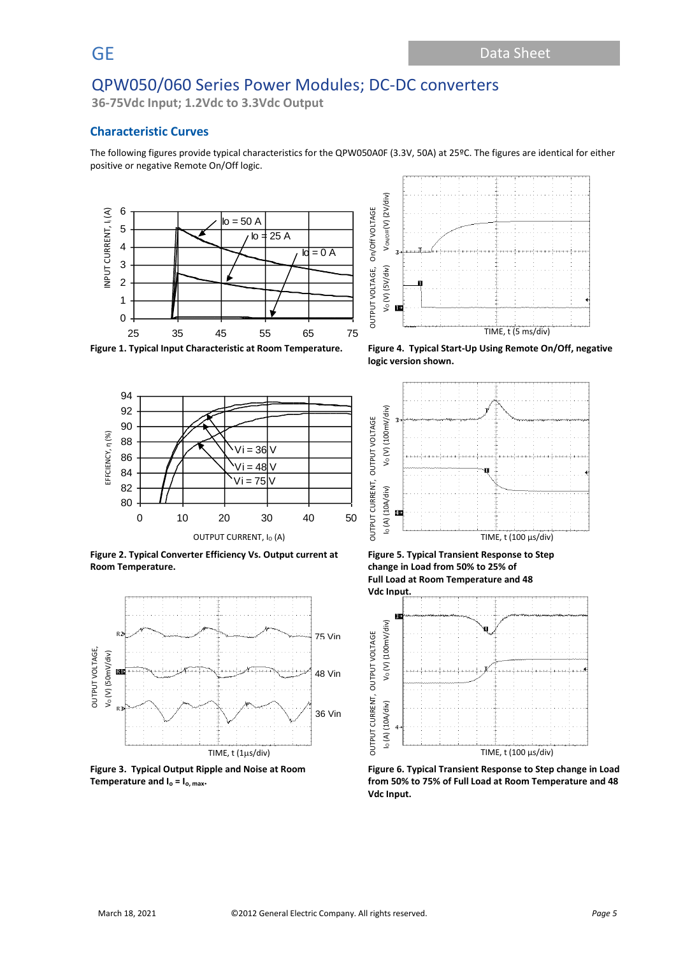**36-75Vdc Input; 1.2Vdc to 3.3Vdc Output**

#### **Characteristic Curves**

The following figures provide typical characteristics for the QPW050A0F (3.3V, 50A) at 25ºC. The figures are identical for either positive or negative Remote On/Off logic.







**Figure 2. Typical Converter Efficiency Vs. Output current at Room Temperature.**



**Figure 3. Typical Output Ripple and Noise at Room Temperature and I<sup>o</sup> = Io, max.**

**Figure 1. Typical Input Characteristic at Room Temperature. Figure 4. Typical Start-Up Using Remote On/Off, negative logic version shown.**



**Figure 5. Typical Transient Response to Step change in Load from 50% to 25% of Full Load at Room Temperature and 48 Vdc Input.**



**Figure 6. Typical Transient Response to Step change in Load from 50% to 75% of Full Load at Room Temperature and 48 Vdc Input.**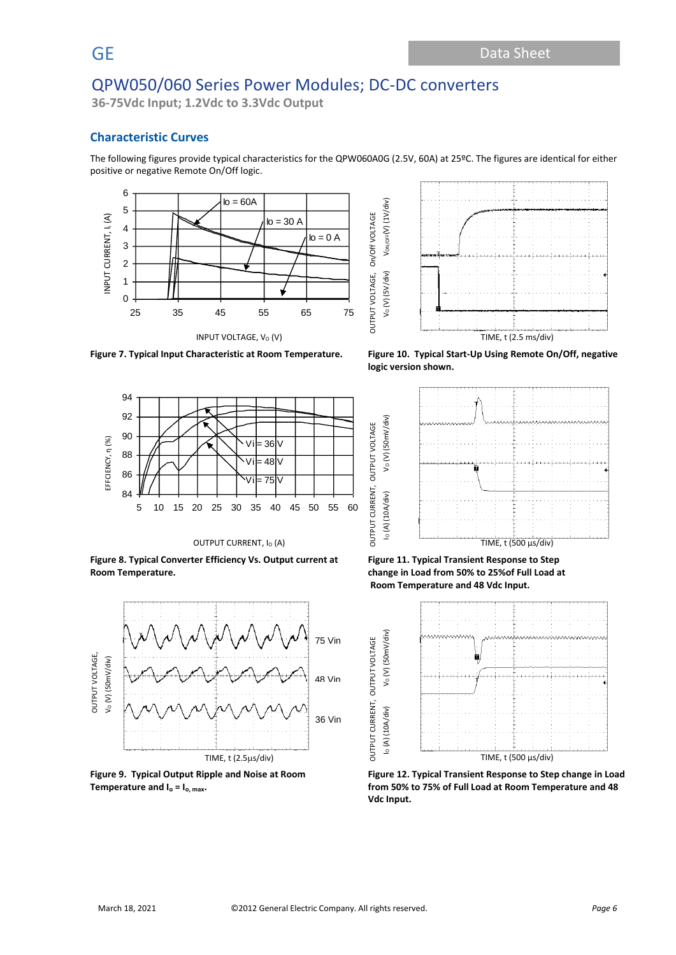**36-75Vdc Input; 1.2Vdc to 3.3Vdc Output**

#### **Characteristic Curves**

The following figures provide typical characteristics for the QPW060A0G (2.5V, 60A) at 25ºC. The figures are identical for either positive or negative Remote On/Off logic.

OUTPUT VOLTAGE, On/Off VOLTAGE

Vo<sub>N/OFF</sub>(V) (1V/div) On/Off VOLTAGE







**Figure 7. Typical Input Characteristic at Room Temperature. Figure 10. Typical Start-Up Using Remote On/Off, negative** 





**Figure 8. Typical Converter Efficiency Vs. Output current at Room Temperature.**



**Figure 9. Typical Output Ripple and Noise at Room Temperature and I<sup>o</sup> = Io, max.**

**logic version shown.**



**Figure 11. Typical Transient Response to Step change in Load from 50% to 25%of Full Load at Room Temperature and 48 Vdc Input.**



**Figure 12. Typical Transient Response to Step change in Load from 50% to 75% of Full Load at Room Temperature and 48 Vdc Input.**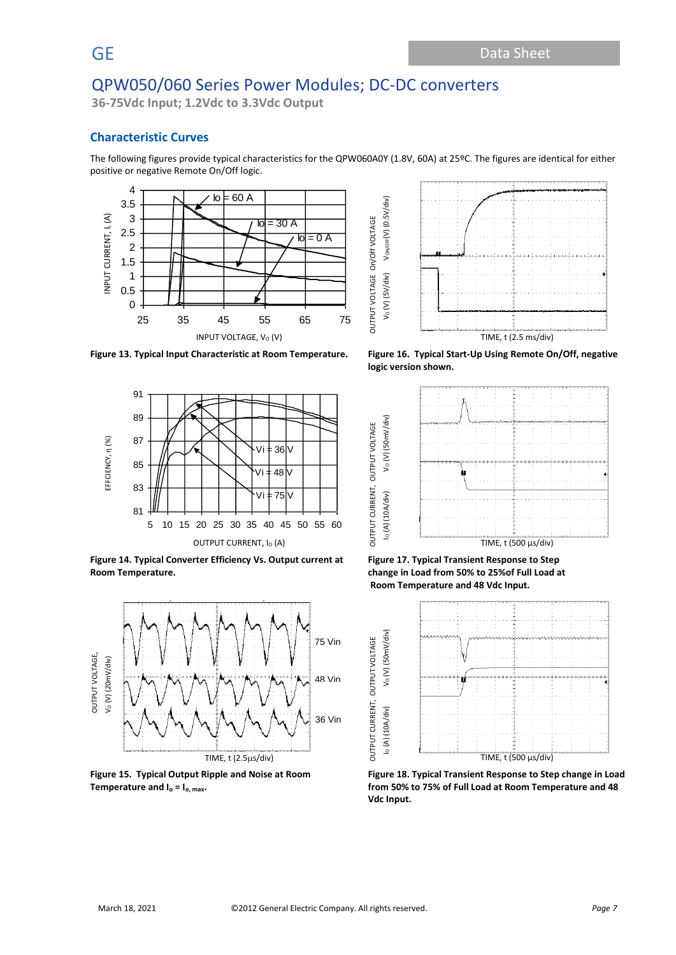**36-75Vdc Input; 1.2Vdc to 3.3Vdc Output**

#### **Characteristic Curves**

The following figures provide typical characteristics for the QPW060A0Y (1.8V, 60A) at 25ºC. The figures are identical for either positive or negative Remote On/Off logic.

OUTPUT VOLTAGE On/Off VOLTAGE



**Figure 13. Typical Input Characteristic at Room Temperature. Figure 16. Typical Start-Up Using Remote On/Off, negative** 



**Figure 14. Typical Converter Efficiency Vs. Output current at Room Temperature.**



**Figure 15. Typical Output Ripple and Noise at Room Temperature and I<sup>o</sup> = Io, max.**



**logic version shown.**



**Figure 17. Typical Transient Response to Step change in Load from 50% to 25%of Full Load at Room Temperature and 48 Vdc Input.**



**Figure 18. Typical Transient Response to Step change in Load from 50% to 75% of Full Load at Room Temperature and 48 Vdc Input.**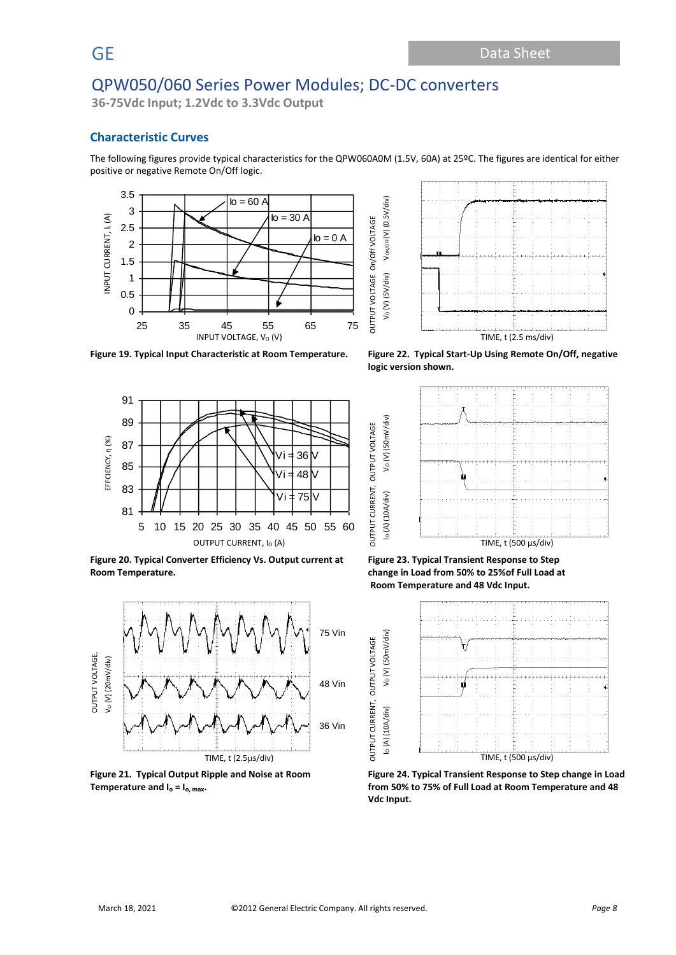**36-75Vdc Input; 1.2Vdc to 3.3Vdc Output**

#### **Characteristic Curves**

The following figures provide typical characteristics for the QPW060A0M (1.5V, 60A) at 25ºC. The figures are identical for either positive or negative Remote On/Off logic.

Vo (V) (SV/div) Von/off(V) (V) ov

V<sub>o</sub> (V) (5V/div)

V<sub>ON/OFF</sub>(V) (0.5V/div)

OUTPUT CURRENT, OUTPUT VOLTAGE

**OUTPUT VOLTAGE** 





**Figure 20. Typical Converter Efficiency Vs. Output current at Room Temperature.**



**Figure 21. Typical Output Ripple and Noise at Room Temperature and I<sup>o</sup> = Io, max.**

**Figure 19. Typical Input Characteristic at Room Temperature. Figure 22. Typical Start-Up Using Remote On/Off, negative logic version shown.**



**Figure 23. Typical Transient Response to Step change in Load from 50% to 25%of Full Load at Room Temperature and 48 Vdc Input.**



**Figure 24. Typical Transient Response to Step change in Load from 50% to 75% of Full Load at Room Temperature and 48 Vdc Input.**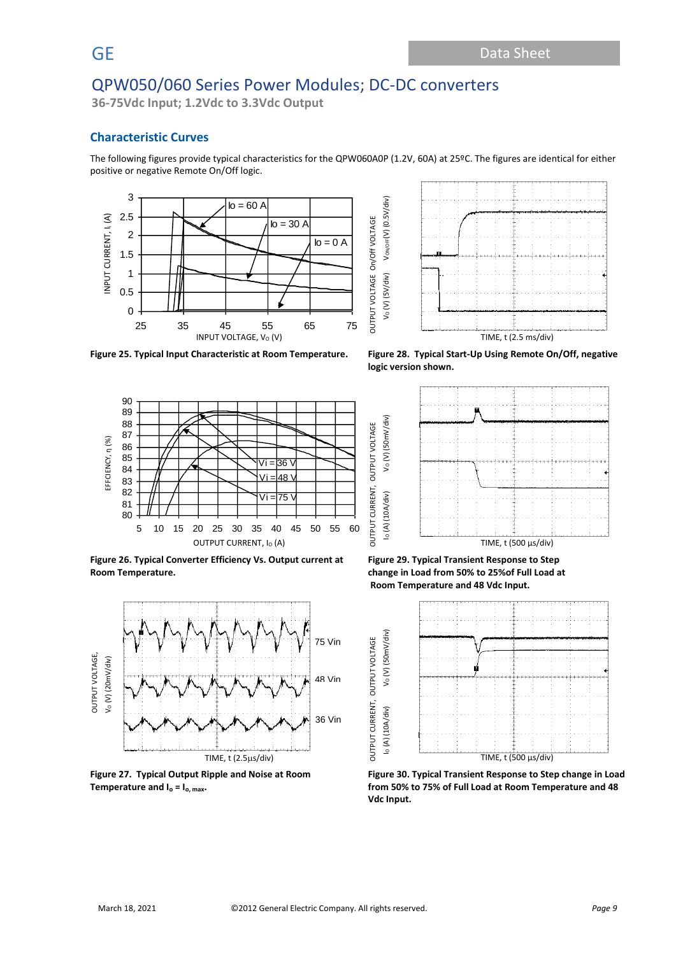**36-75Vdc Input; 1.2Vdc to 3.3Vdc Output**

#### **Characteristic Curves**

The following figures provide typical characteristics for the QPW060A0P (1.2V, 60A) at 25ºC. The figures are identical for either positive or negative Remote On/Off logic.

Vo (V) (SV/div) Von/off(V) (V) ov

V<sub>o</sub> (V) (5V/div)

V<sub>o</sub>(V) (50mV/div)

V<sub>ON/OFF</sub>(V) (0.5V/div)







**Figure 26. Typical Converter Efficiency Vs. Output current at Room Temperature.**



**Figure 27. Typical Output Ripple and Noise at Room Temperature and I<sup>o</sup> = Io, max.**

**Figure 25. Typical Input Characteristic at Room Temperature. Figure 28. Typical Start-Up Using Remote On/Off, negative logic version shown.**



**Figure 29. Typical Transient Response to Step change in Load from 50% to 25%of Full Load at Room Temperature and 48 Vdc Input.**



**Figure 30. Typical Transient Response to Step change in Load from 50% to 75% of Full Load at Room Temperature and 48 Vdc Input.**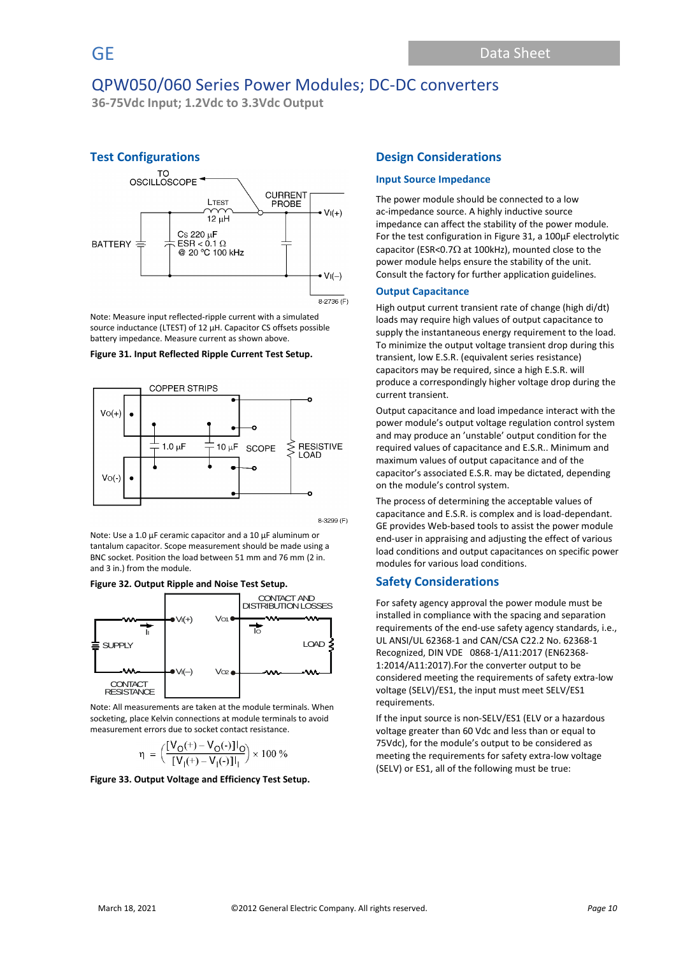**36-75Vdc Input; 1.2Vdc to 3.3Vdc Output**

### **Test Configurations**



Note: Measure input reflected-ripple current with a simulated source inductance (LTEST) of 12 µH. Capacitor CS offsets possible battery impedance. Measure current as shown above.

#### **Figure 31. Input Reflected Ripple Current Test Setup.**



 $8-3299(f)$ 

Note: Use a 1.0 µF ceramic capacitor and a 10 µF aluminum or tantalum capacitor. Scope measurement should be made using a BNC socket. Position the load between 51 mm and 76 mm (2 in. and 3 in.) from the module.





Note: All measurements are taken at the module terminals. When socketing, place Kelvin connections at module terminals to avoid measurement errors due to socket contact resistance.

$$
1 = \left(\frac{[V_{\text{O}}(+) - V_{\text{O}}(-)]I_{\text{O}}}{[V_{\text{I}}(+) - V_{\text{I}}(-)]I_{\text{I}}}\right) \times 100\%
$$

**Figure 33. Output Voltage and Efficiency Test Setup.**

#### **Design Considerations**

#### **Input Source Impedance**

The power module should be connected to a low ac-impedance source. A highly inductive source impedance can affect the stability of the power module. For the test configuration in Figure 31, a 100μF electrolytic capacitor (ESR<0.7 $\Omega$  at 100kHz), mounted close to the power module helps ensure the stability of the unit. Consult the factory for further application guidelines.

#### **Output Capacitance**

High output current transient rate of change (high di/dt) loads may require high values of output capacitance to supply the instantaneous energy requirement to the load. To minimize the output voltage transient drop during this transient, low E.S.R. (equivalent series resistance) capacitors may be required, since a high E.S.R. will produce a correspondingly higher voltage drop during the current transient.

Output capacitance and load impedance interact with the power module's output voltage regulation control system and may produce an 'unstable' output condition for the required values of capacitance and E.S.R.. Minimum and maximum values of output capacitance and of the capacitor's associated E.S.R. may be dictated, depending on the module's control system.

The process of determining the acceptable values of capacitance and E.S.R. is complex and is load-dependant. GE provides Web-based tools to assist the power module end-user in appraising and adjusting the effect of various load conditions and output capacitances on specific power modules for various load conditions.

#### **Safety Considerations**

For safety agency approval the power module must be installed in compliance with the spacing and separation requirements of the end-use safety agency standards, i.e., UL ANSI/UL 62368-1 and CAN/CSA C22.2 No. 62368-1 Recognized, DIN VDE 0868-1/A11:2017 (EN62368- 1:2014/A11:2017).For the converter output to be considered meeting the requirements of safety extra-low voltage (SELV)/ES1, the input must meet SELV/ES1 requirements.

If the input source is non-SELV/ES1 (ELV or a hazardous voltage greater than 60 Vdc and less than or equal to 75Vdc), for the module's output to be considered as meeting the requirements for safety extra-low voltage (SELV) or ES1, all of the following must be true: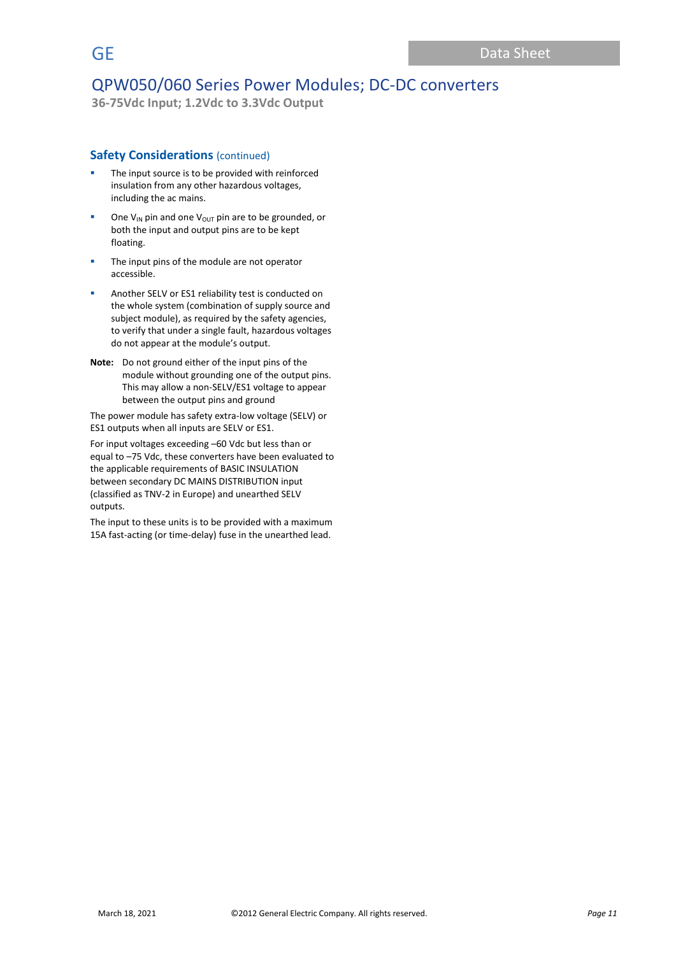**36-75Vdc Input; 1.2Vdc to 3.3Vdc Output**

#### **Safety Considerations** (continued)

- **·** The input source is to be provided with reinforced insulation from any other hazardous voltages, including the ac mains.
- **•** One V<sub>IN</sub> pin and one V<sub>OUT</sub> pin are to be grounded, or both the input and output pins are to be kept floating.
- The input pins of the module are not operator accessible.
- Another SELV or ES1 reliability test is conducted on the whole system (combination of supply source and subject module), as required by the safety agencies, to verify that under a single fault, hazardous voltages do not appear at the module's output.
- **Note:** Do not ground either of the input pins of the module without grounding one of the output pins. This may allow a non-SELV/ES1 voltage to appear between the output pins and ground

The power module has safety extra-low voltage (SELV) or ES1 outputs when all inputs are SELV or ES1.

For input voltages exceeding –60 Vdc but less than or equal to –75 Vdc, these converters have been evaluated to the applicable requirements of BASIC INSULATION between secondary DC MAINS DISTRIBUTION input (classified as TNV-2 in Europe) and unearthed SELV outputs.

The input to these units is to be provided with a maximum 15A fast-acting (or time-delay) fuse in the unearthed lead.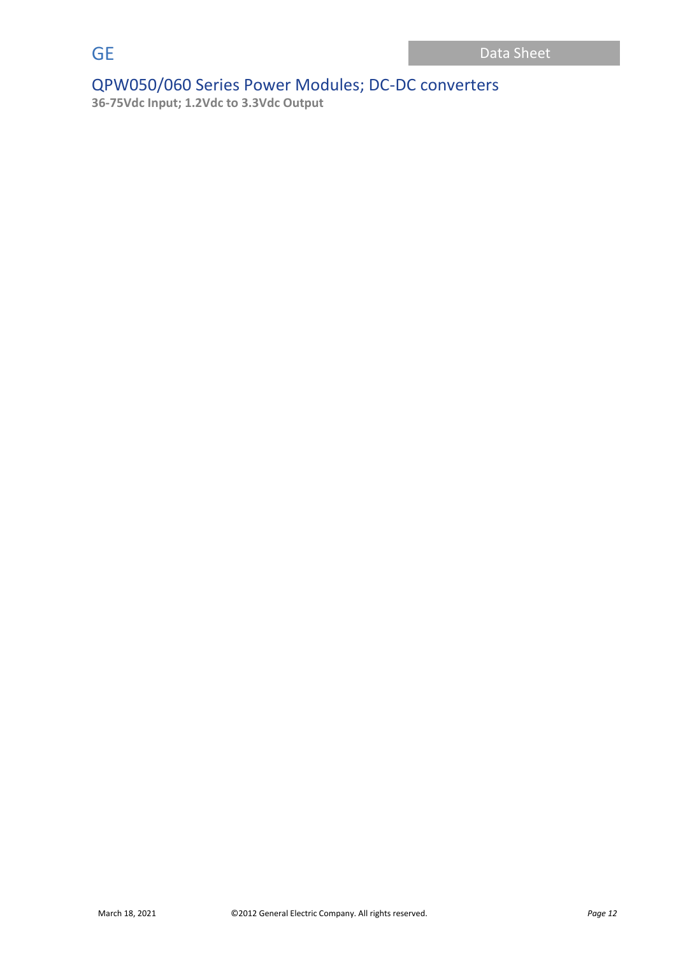**36-75Vdc Input; 1.2Vdc to 3.3Vdc Output**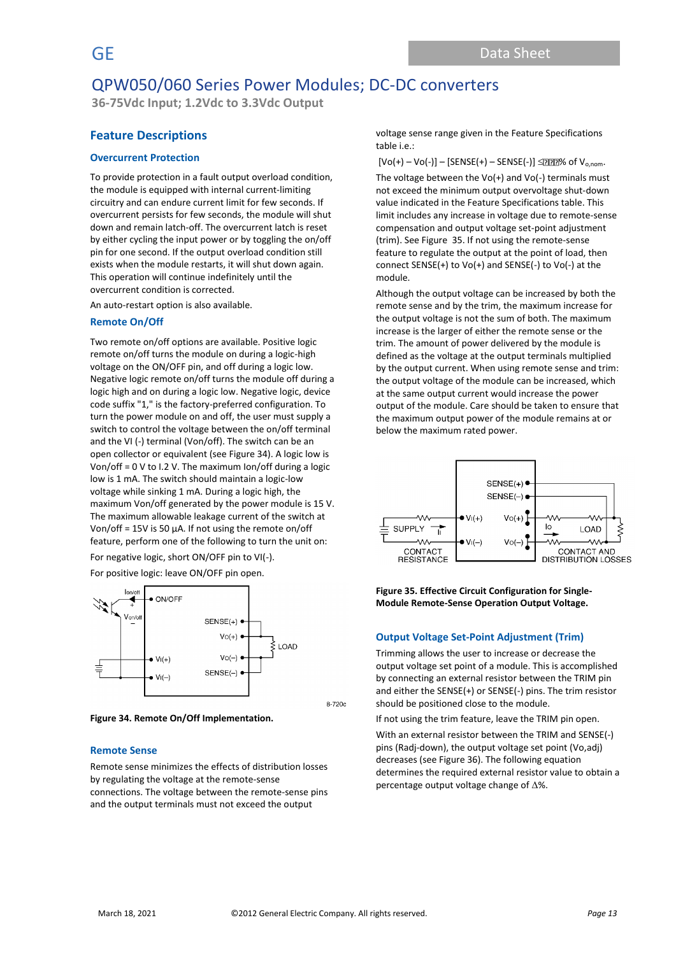**36-75Vdc Input; 1.2Vdc to 3.3Vdc Output**

#### **Feature Descriptions**

#### **Overcurrent Protection**

To provide protection in a fault output overload condition, the module is equipped with internal current-limiting circuitry and can endure current limit for few seconds. If overcurrent persists for few seconds, the module will shut down and remain latch-off. The overcurrent latch is reset by either cycling the input power or by toggling the on/off pin for one second. If the output overload condition still exists when the module restarts, it will shut down again. This operation will continue indefinitely until the overcurrent condition is corrected.

An auto-restart option is also available.

#### **Remote On/Off**

Two remote on/off options are available. Positive logic remote on/off turns the module on during a logic-high voltage on the ON/OFF pin, and off during a logic low. Negative logic remote on/off turns the module off during a logic high and on during a logic low. Negative logic, device code suffix "1," is the factory-preferred configuration. To turn the power module on and off, the user must supply a switch to control the voltage between the on/off terminal and the VI (-) terminal (Von/off). The switch can be an open collector or equivalent (see Figure 34). A logic low is Von/off = 0 V to I.2 V. The maximum Ion/off during a logic low is 1 mA. The switch should maintain a logic-low voltage while sinking 1 mA. During a logic high, the maximum Von/off generated by the power module is 15 V. The maximum allowable leakage current of the switch at Von/off = 15V is 50 µA. If not using the remote on/off feature, perform one of the following to turn the unit on: For negative logic, short ON/OFF pin to VI(-).

For positive logic: leave ON/OFF pin open.



**Figure 34. Remote On/Off Implementation.**

#### **Remote Sense**

Remote sense minimizes the effects of distribution losses by regulating the voltage at the remote-sense connections. The voltage between the remote-sense pins and the output terminals must not exceed the output

voltage sense range given in the Feature Specifications table i.e.:

 $[Vo(+) - Vo(-)] - [SENSE(+) - SENSE(-)] \le 2222\%$  of  $V_{o,nom}$ . The voltage between the  $Vo(+)$  and  $Vo(-)$  terminals must not exceed the minimum output overvoltage shut-down value indicated in the Feature Specifications table. This limit includes any increase in voltage due to remote-sense compensation and output voltage set-point adjustment (trim). See Figure 35. If not using the remote-sense feature to regulate the output at the point of load, then connect SENSE(+) to Vo(+) and SENSE(-) to Vo(-) at the module.

Although the output voltage can be increased by both the remote sense and by the trim, the maximum increase for the output voltage is not the sum of both. The maximum increase is the larger of either the remote sense or the trim. The amount of power delivered by the module is defined as the voltage at the output terminals multiplied by the output current. When using remote sense and trim: the output voltage of the module can be increased, which at the same output current would increase the power output of the module. Care should be taken to ensure that the maximum output power of the module remains at or below the maximum rated power.



**Figure 35. Effective Circuit Configuration for Single-Module Remote-Sense Operation Output Voltage.**

#### **Output Voltage Set-Point Adjustment (Trim)**

Trimming allows the user to increase or decrease the output voltage set point of a module. This is accomplished by connecting an external resistor between the TRIM pin and either the SENSE(+) or SENSE(-) pins. The trim resistor should be positioned close to the module.

If not using the trim feature, leave the TRIM pin open.

With an external resistor between the TRIM and SENSE(-) pins (Radj-down), the output voltage set point (Vo,adj) decreases (see Figure 36). The following equation determines the required external resistor value to obtain a percentage output voltage change of  $\Delta\%$ .

8-720c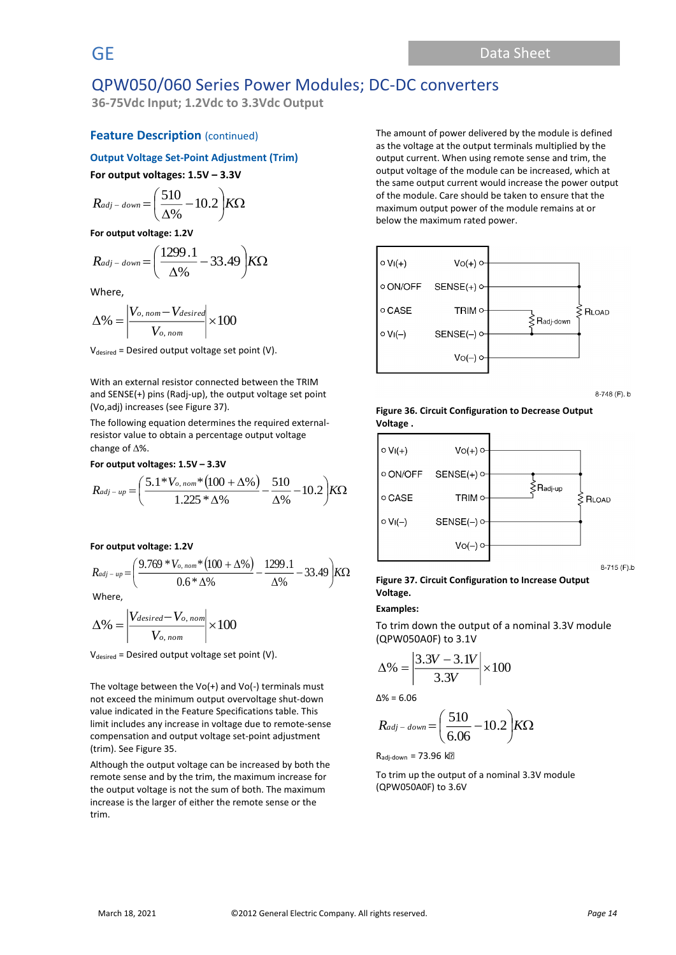**36-75Vdc Input; 1.2Vdc to 3.3Vdc Output**

#### **Feature Description** (continued)

**Output Voltage Set-Point Adjustment (Trim)**

**For output voltages: 1.5V – 3.3V**

$$
R_{adj-down} = \left(\frac{510}{\Delta\%} - 10.2\right) K\Omega
$$

**For output voltage: 1.2V**

$$
R_{adj-down} = \left(\frac{1299.1}{\Delta\%} - 33.49\right) K\Omega
$$

Where,

$$
\Delta\% = \left| \frac{V_{o,\,nom} - V_{desired}}{V_{o,\,nom}} \right| \times 100
$$

 $V_{\text{desired}}$  = Desired output voltage set point (V).

With an external resistor connected between the TRIM and SENSE(+) pins (Radj-up), the output voltage set point (Vo,adj) increases (see Figure 37).

The following equation determines the required externalresistor value to obtain a percentage output voltage change of  $\Delta\%$ .

#### **For output voltages: 1.5V – 3.3V**

$$
R_{adj-up} = \left(\frac{5.1 * V_{o,nom} * (100 + \Delta\%)}{1.225 * \Delta\%} - \frac{510}{\Delta\%} - 10.2\right) K\Omega
$$

#### **For output voltage: 1.2V**

$$
R_{adj-up} = \left(\frac{9.769 * V_{o,\,nom} * (100 + \Delta\%)}{0.6 * \Delta\%} - \frac{1299.1}{\Delta\%} - 33.49\right) K\Omega
$$

Where,

$$
\Delta\% = \left| \frac{V_{desired} - V_{o, nom}}{V_{o, nom}} \right| \times 100
$$

 $V_{desired}$  = Desired output voltage set point (V).

The voltage between the  $Vo(+)$  and  $Vo(-)$  terminals must not exceed the minimum output overvoltage shut-down value indicated in the Feature Specifications table. This limit includes any increase in voltage due to remote-sense compensation and output voltage set-point adjustment (trim). See Figure 35.

Although the output voltage can be increased by both the remote sense and by the trim, the maximum increase for the output voltage is not the sum of both. The maximum increase is the larger of either the remote sense or the trim.

The amount of power delivered by the module is defined as the voltage at the output terminals multiplied by the output current. When using remote sense and trim, the output voltage of the module can be increased, which at the same output current would increase the power output of the module. Care should be taken to ensure that the maximum output power of the module remains at or below the maximum rated power.



8-748 (F), b





8-715 (F).b

**Figure 37. Circuit Configuration to Increase Output Voltage.**

#### **Examples:**

To trim down the output of a nominal 3.3V module (QPW050A0F) to 3.1V

$$
\Delta\% = \left| \frac{3.3V - 3.1V}{3.3V} \right| \times 100
$$

 $Δ% = 6.06$ 

$$
R_{adj-down} = \left(\frac{510}{6.06} - 10.2\right) K\Omega
$$

 $R_{\text{adj-down}} = 73.96$  k $\boxtimes$ 

To trim up the output of a nominal 3.3V module (QPW050A0F) to 3.6V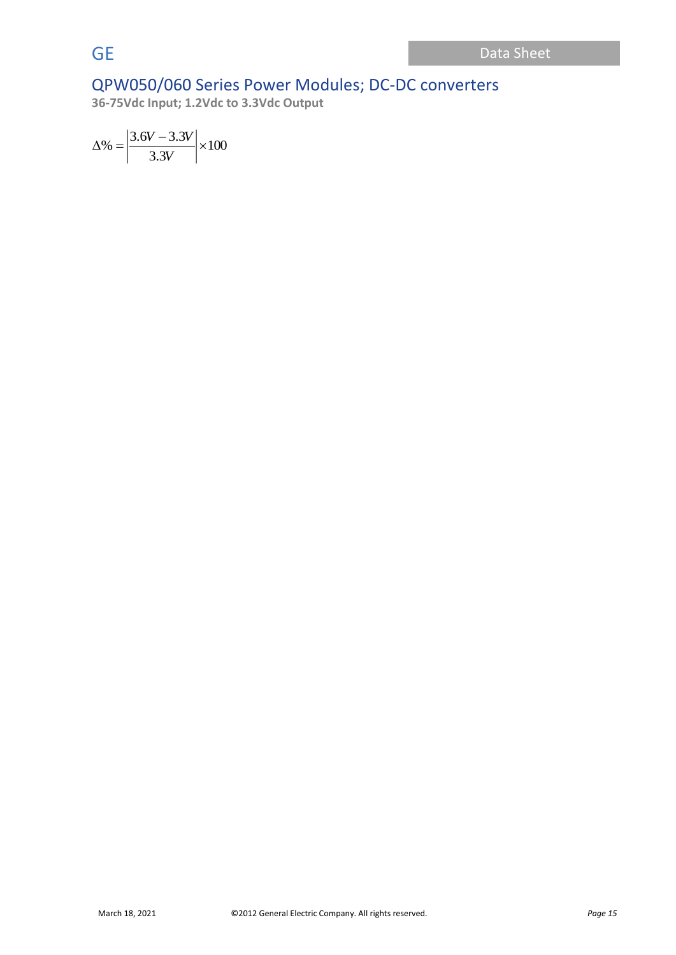**36-75Vdc Input; 1.2Vdc to 3.3Vdc Output**

$$
A\% = \frac{\left|3.6V - 3.3V\right|}{3.3V} \times 100
$$
\nMarch 18, 2021

\nWarch 18, 2022

\nGeneral Electric Company, All right reserved.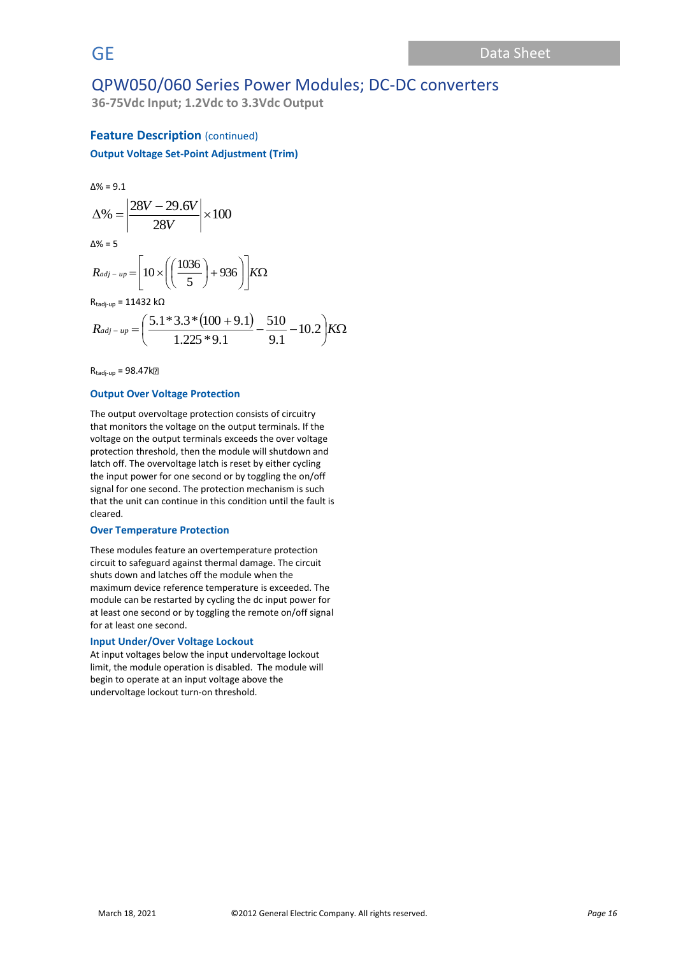**36-75Vdc Input; 1.2Vdc to 3.3Vdc Output**

#### **Feature Description** (continued)

**Output Voltage Set-Point Adjustment (Trim)**

 $Δ% = 9.1$ 

$$
\Delta\% = \left| \frac{28V - 29.6V}{28V} \right| \times 100
$$

 $Δ% = 5$ 

$$
R_{adj-up} = \left[10 \times \left(\left(\frac{1036}{5}\right) + 936\right)\right] K\Omega
$$

 $R_{tadj-up} = 11432 k\Omega$ 

$$
R_{adj-up} = \left(\frac{5.1*3.3*(100+9.1)}{1.225*9.1} - \frac{510}{9.1} - 10.2\right) K\Omega
$$

 $R_{tadi-up} = 98.47k$ 

#### **Output Over Voltage Protection**

The output overvoltage protection consists of circuitry that monitors the voltage on the output terminals. If the voltage on the output terminals exceeds the over voltage protection threshold, then the module will shutdown and latch off. The overvoltage latch is reset by either cycling the input power for one second or by toggling the on/off signal for one second. The protection mechanism is such that the unit can continue in this condition until the fault is cleared.

#### **Over Temperature Protection**

These modules feature an overtemperature protection circuit to safeguard against thermal damage. The circuit shuts down and latches off the module when the maximum device reference temperature is exceeded. The module can be restarted by cycling the dc input power for at least one second or by toggling the remote on/off signal for at least one second.

#### **Input Under/Over Voltage Lockout**

At input voltages below the input undervoltage lockout limit, the module operation is disabled. The module will begin to operate at an input voltage above the undervoltage lockout turn-on threshold.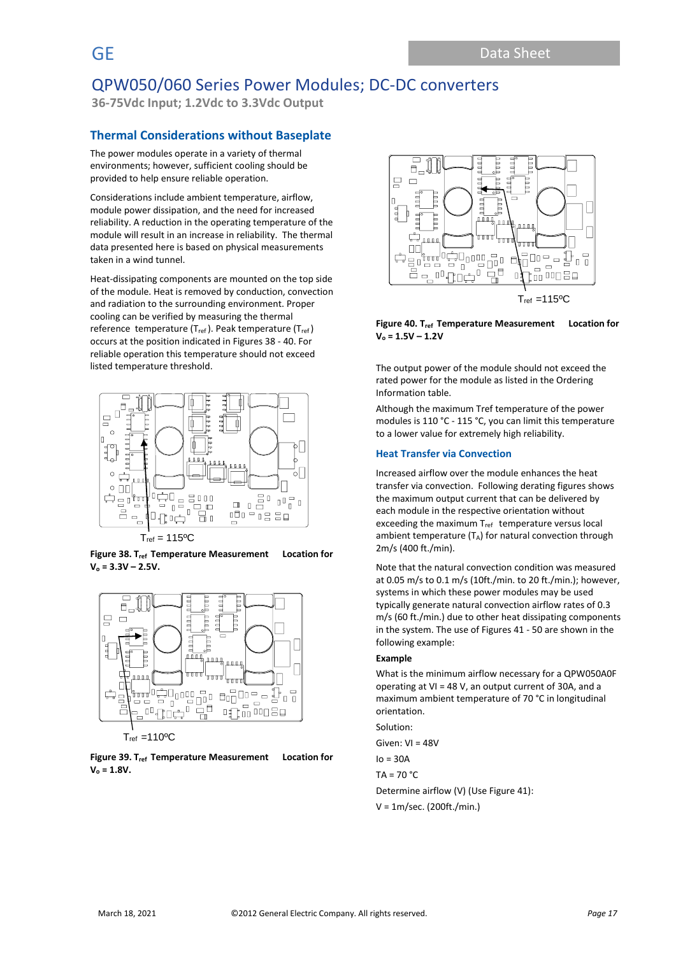**36-75Vdc Input; 1.2Vdc to 3.3Vdc Output**

#### **Thermal Considerations without Baseplate**

The power modules operate in a variety of thermal environments; however, sufficient cooling should be provided to help ensure reliable operation.

Considerations include ambient temperature, airflow, module power dissipation, and the need for increased reliability. A reduction in the operating temperature of the module will result in an increase in reliability. The thermal data presented here is based on physical measurements taken in a wind tunnel.

Heat-dissipating components are mounted on the top side of the module. Heat is removed by conduction, convection and radiation to the surrounding environment. Proper cooling can be verified by measuring the thermal reference temperature ( $T_{ref}$ ). Peak temperature ( $T_{ref}$ ) occurs at the position indicated in Figures 38 - 40. For reliable operation this temperature should not exceed listed temperature threshold.



**Figure 38. Tref Temperature Measurement Location for V<sup>o</sup> = 3.3V – 2.5V.**



**Figure 39. Tref Temperature Measurement Location for V<sup>o</sup> = 1.8V.**



**Figure 40. Tref Temperature Measurement Location for V<sup>o</sup> = 1.5V – 1.2V**

The output power of the module should not exceed the rated power for the module as listed in the Ordering Information table.

Although the maximum Tref temperature of the power modules is 110 °C - 115 °C, you can limit this temperature to a lower value for extremely high reliability.

#### **Heat Transfer via Convection**

Increased airflow over the module enhances the heat transfer via convection. Following derating figures shows the maximum output current that can be delivered by each module in the respective orientation without exceeding the maximum T<sub>ref</sub> temperature versus local ambient temperature  $(T_A)$  for natural convection through 2m/s (400 ft./min).

Note that the natural convection condition was measured at 0.05 m/s to 0.1 m/s (10ft./min. to 20 ft./min.); however, systems in which these power modules may be used typically generate natural convection airflow rates of 0.3 m/s (60 ft./min.) due to other heat dissipating components in the system. The use of Figures 41 - 50 are shown in the following example:

#### **Example**

What is the minimum airflow necessary for a QPW050A0F operating at VI = 48 V, an output current of 30A, and a maximum ambient temperature of 70 °C in longitudinal orientation.

Solution:

 $Given: VI = A8V$ 

 $I_0 = 30A$ 

 $TA = 70 °C$ 

Determine airflow (V) (Use Figure 41):

V = 1m/sec. (200ft./min.)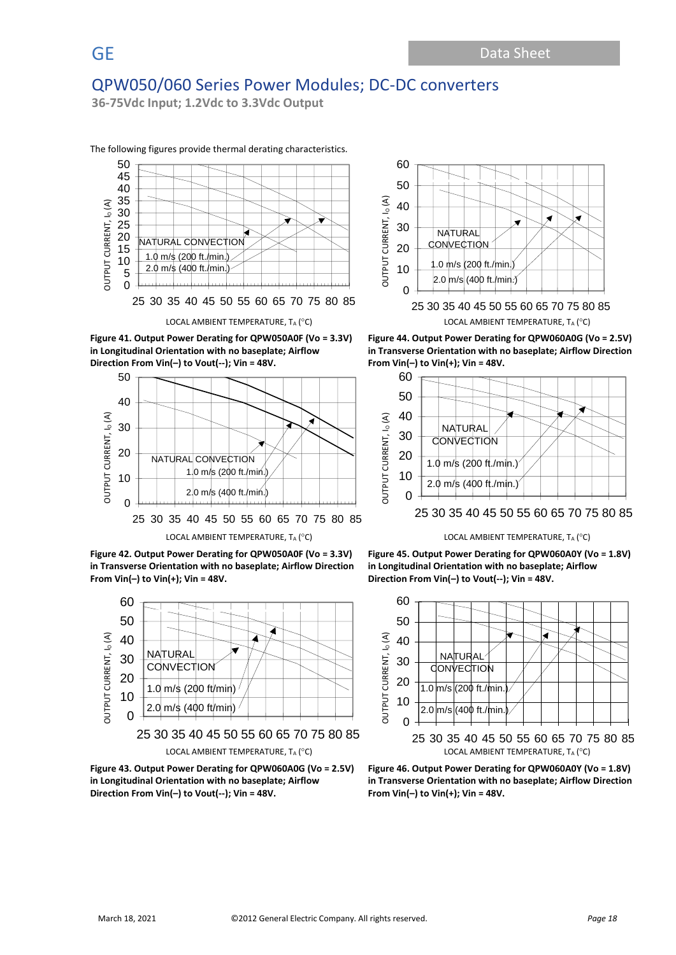**36-75Vdc Input; 1.2Vdc to 3.3Vdc Output**



**Figure 41. Output Power Derating for QPW050A0F (Vo = 3.3V) in Longitudinal Orientation with no baseplate; Airflow Direction From Vin(–) to Vout(--); Vin = 48V.**



**Figure 42. Output Power Derating for QPW050A0F (Vo = 3.3V) in Transverse Orientation with no baseplate; Airflow Direction From Vin(–) to Vin(+); Vin = 48V.**



**Figure 43. Output Power Derating for QPW060A0G (Vo = 2.5V) in Longitudinal Orientation with no baseplate; Airflow Direction From Vin(–) to Vout(--); Vin = 48V.**



**Figure 44. Output Power Derating for QPW060A0G (Vo = 2.5V) in Transverse Orientation with no baseplate; Airflow Direction From Vin(–) to Vin(+); Vin = 48V.**



**Figure 45. Output Power Derating for QPW060A0Y (Vo = 1.8V) in Longitudinal Orientation with no baseplate; Airflow Direction From Vin(–) to Vout(--); Vin = 48V.**



**Figure 46. Output Power Derating for QPW060A0Y (Vo = 1.8V) in Transverse Orientation with no baseplate; Airflow Direction From Vin(–) to Vin(+); Vin = 48V.**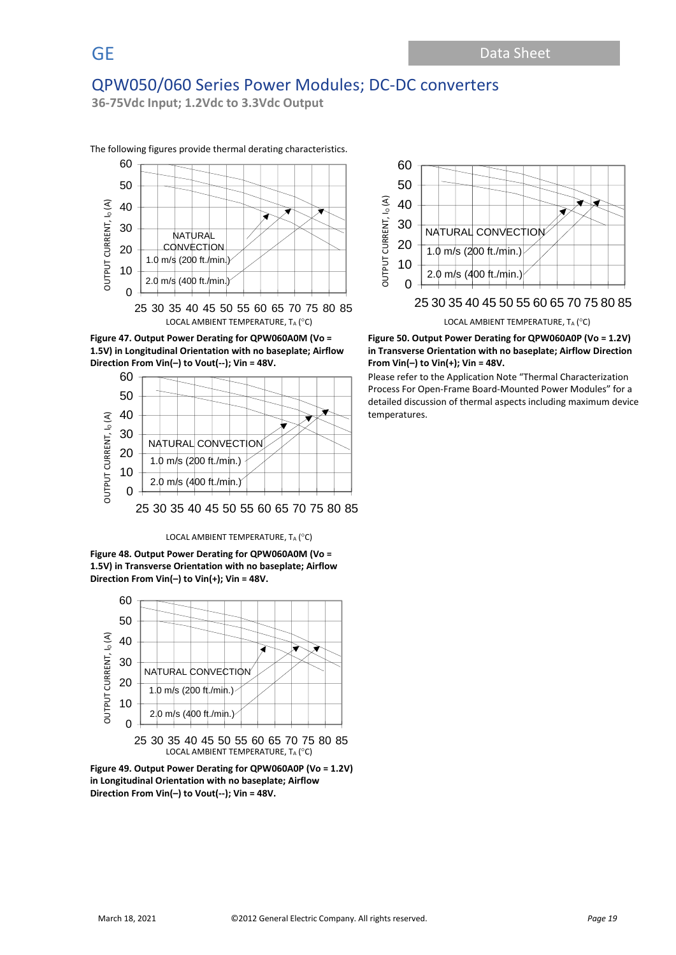**36-75Vdc Input; 1.2Vdc to 3.3Vdc Output**



**Figure 47. Output Power Derating for QPW060A0M (Vo = 1.5V) in Longitudinal Orientation with no baseplate; Airflow Direction From Vin(–) to Vout(--); Vin = 48V.**



LOCAL AMBIENT TEMPERATURE, TA (°C)

**Figure 48. Output Power Derating for QPW060A0M (Vo = 1.5V) in Transverse Orientation with no baseplate; Airflow Direction From Vin(–) to Vin(+); Vin = 48V.**







**Figure 50. Output Power Derating for QPW060A0P (Vo = 1.2V) in Transverse Orientation with no baseplate; Airflow Direction From Vin(–) to Vin(+); Vin = 48V.**

Please refer to the Application Note "Thermal Characterization Process For Open-Frame Board-Mounted Power Modules" for a detailed discussion of thermal aspects including maximum device temperatures.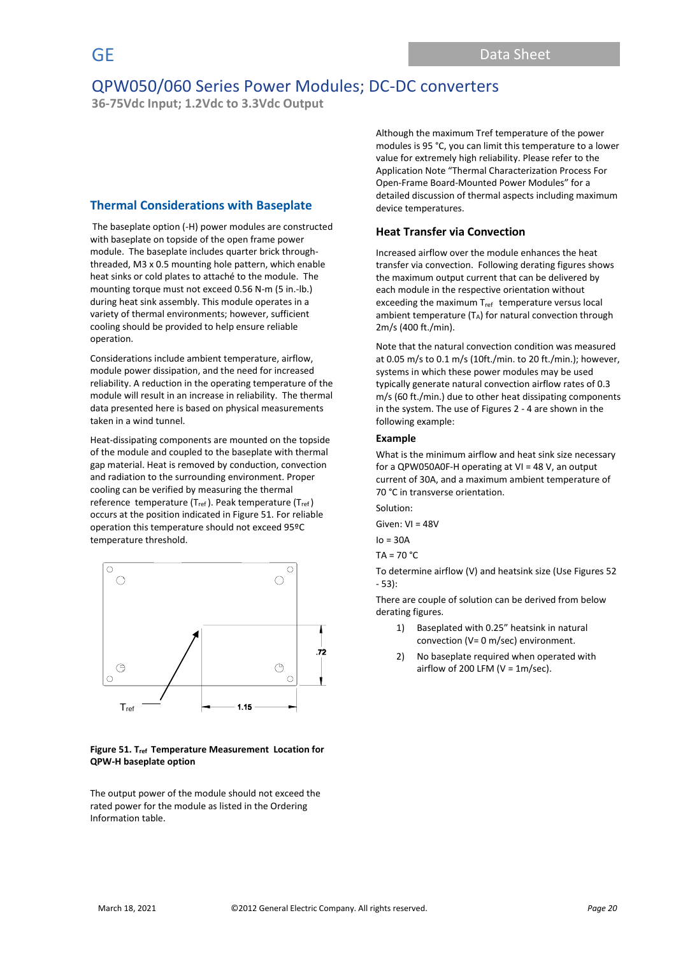**36-75Vdc Input; 1.2Vdc to 3.3Vdc Output**

#### **Thermal Considerations with Baseplate**

The baseplate option (-H) power modules are constructed with baseplate on topside of the open frame power module. The baseplate includes quarter brick throughthreaded, M3 x 0.5 mounting hole pattern, which enable heat sinks or cold plates to attaché to the module. The mounting torque must not exceed 0.56 N-m (5 in.-lb.) during heat sink assembly. This module operates in a variety of thermal environments; however, sufficient cooling should be provided to help ensure reliable operation.

Considerations include ambient temperature, airflow, module power dissipation, and the need for increased reliability. A reduction in the operating temperature of the module will result in an increase in reliability. The thermal data presented here is based on physical measurements taken in a wind tunnel.

Heat-dissipating components are mounted on the topside of the module and coupled to the baseplate with thermal gap material. Heat is removed by conduction, convection and radiation to the surrounding environment. Proper cooling can be verified by measuring the thermal reference temperature ( $T_{ref}$ ). Peak temperature ( $T_{ref}$ ) occurs at the position indicated in Figure 51. For reliable operation this temperature should not exceed 95ºC temperature threshold.



#### **Figure 51. Tref Temperature Measurement Location for QPW-H baseplate option**

The output power of the module should not exceed the rated power for the module as listed in the Ordering Information table.

Although the maximum Tref temperature of the power modules is 95 °C, you can limit this temperature to a lower value for extremely high reliability. Please refer to the Application Note "Thermal Characterization Process For Open-Frame Board-Mounted Power Modules" for a detailed discussion of thermal aspects including maximum device temperatures.

#### **Heat Transfer via Convection**

Increased airflow over the module enhances the heat transfer via convection. Following derating figures shows the maximum output current that can be delivered by each module in the respective orientation without exceeding the maximum T<sub>ref</sub> temperature versus local ambient temperature  $(T_A)$  for natural convection through 2m/s (400 ft./min).

Note that the natural convection condition was measured at 0.05 m/s to 0.1 m/s (10ft./min. to 20 ft./min.); however, systems in which these power modules may be used typically generate natural convection airflow rates of 0.3 m/s (60 ft./min.) due to other heat dissipating components in the system. The use of Figures 2 - 4 are shown in the following example:

#### **Example**

What is the minimum airflow and heat sink size necessary for a QPW050A0F-H operating at VI = 48 V, an output current of 30A, and a maximum ambient temperature of 70 °C in transverse orientation.

Solution:

Given: VI = 48V

 $Io = 30A$ 

 $TA = 70 °C$ 

To determine airflow (V) and heatsink size (Use Figures 52 - 53):

There are couple of solution can be derived from below derating figures.

- 1) Baseplated with 0.25" heatsink in natural convection (V= 0 m/sec) environment.
- 2) No baseplate required when operated with airflow of 200 LFM ( $V = 1m/sec$ ).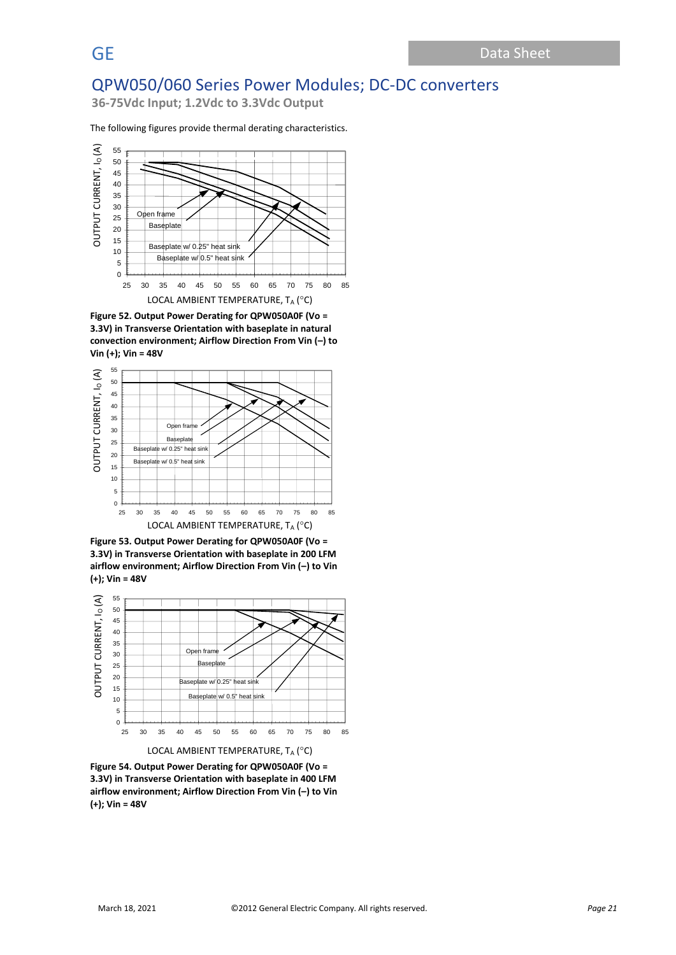**36-75Vdc Input; 1.2Vdc to 3.3Vdc Output**

The following figures provide thermal derating characteristics.



**Figure 52. Output Power Derating for QPW050A0F (Vo = 3.3V) in Transverse Orientation with baseplate in natural convection environment; Airflow Direction From Vin (–) to Vin (+); Vin = 48V**



**Figure 53. Output Power Derating for QPW050A0F (Vo = 3.3V) in Transverse Orientation with baseplate in 200 LFM airflow environment; Airflow Direction From Vin (–) to Vin (+); Vin = 48V**





**Figure 54. Output Power Derating for QPW050A0F (Vo = 3.3V) in Transverse Orientation with baseplate in 400 LFM airflow environment; Airflow Direction From Vin (–) to Vin (+); Vin = 48V**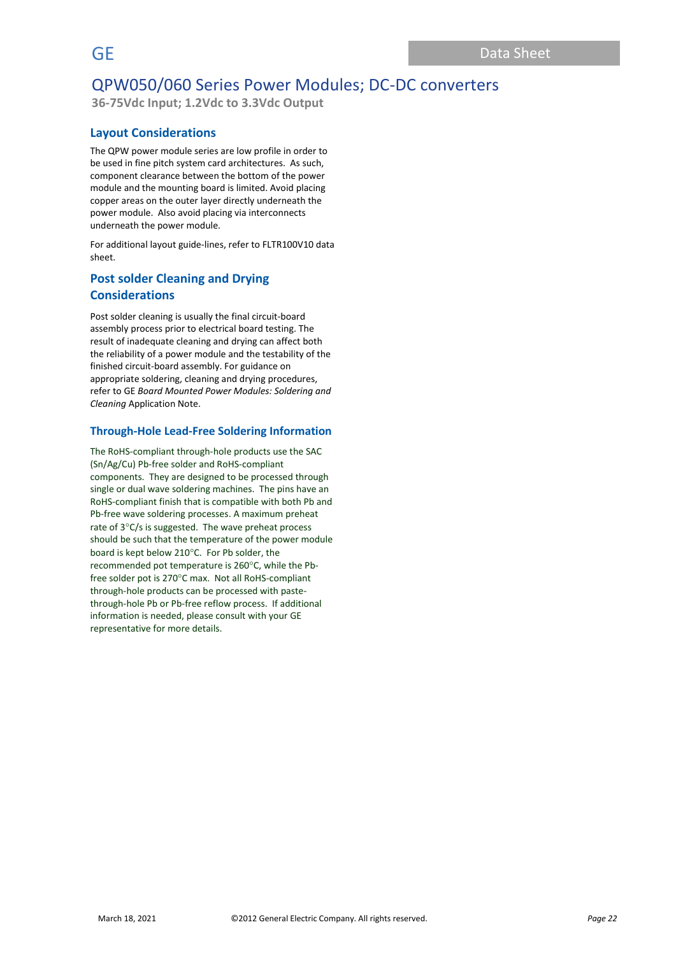**36-75Vdc Input; 1.2Vdc to 3.3Vdc Output**

### **Layout Considerations**

The QPW power module series are low profile in order to be used in fine pitch system card architectures. As such, component clearance between the bottom of the power module and the mounting board is limited. Avoid placing copper areas on the outer layer directly underneath the power module. Also avoid placing via interconnects underneath the power module.

For additional layout guide-lines, refer to FLTR100V10 data sheet.

#### **Post solder Cleaning and Drying Considerations**

Post solder cleaning is usually the final circuit-board assembly process prior to electrical board testing. The result of inadequate cleaning and drying can affect both the reliability of a power module and the testability of the finished circuit-board assembly. For guidance on appropriate soldering, cleaning and drying procedures, refer to GE *Board Mounted Power Modules: Soldering and Cleaning* Application Note.

#### **Through-Hole Lead-Free Soldering Information**

The RoHS-compliant through-hole products use the SAC (Sn/Ag/Cu) Pb-free solder and RoHS-compliant components. They are designed to be processed through single or dual wave soldering machines. The pins have an RoHS-compliant finish that is compatible with both Pb and Pb-free wave soldering processes. A maximum preheat rate of  $3^{\circ}$ C/s is suggested. The wave preheat process should be such that the temperature of the power module board is kept below 210°C. For Pb solder, the recommended pot temperature is 260°C, while the Pbfree solder pot is 270°C max. Not all RoHS-compliant through-hole products can be processed with pastethrough-hole Pb or Pb-free reflow process. If additional information is needed, please consult with your GE representative for more details.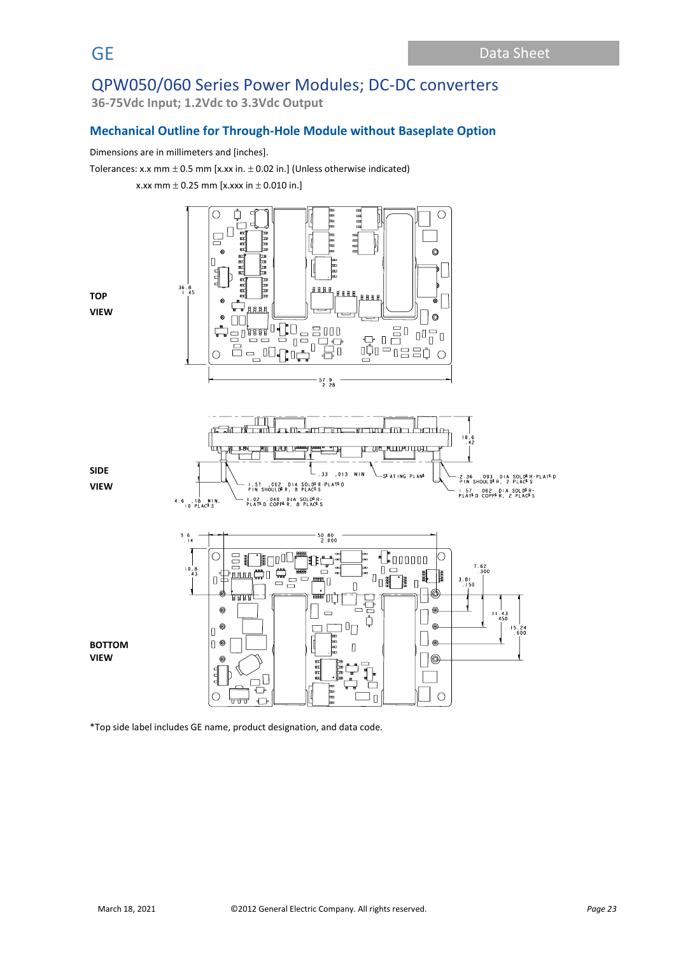**36-75Vdc Input; 1.2Vdc to 3.3Vdc Output**

### **Mechanical Outline for Through-Hole Module without Baseplate Option**

Dimensions are in millimeters and [inches].

Tolerances: x.x mm  $\pm$  0.5 mm [x.xx in.  $\pm$  0.02 in.] (Unless otherwise indicated)

x.xx mm  $\pm$  0.25 mm [x.xxx in  $\pm$  0.010 in.]



\*Top side label includes GE name, product designation, and data code.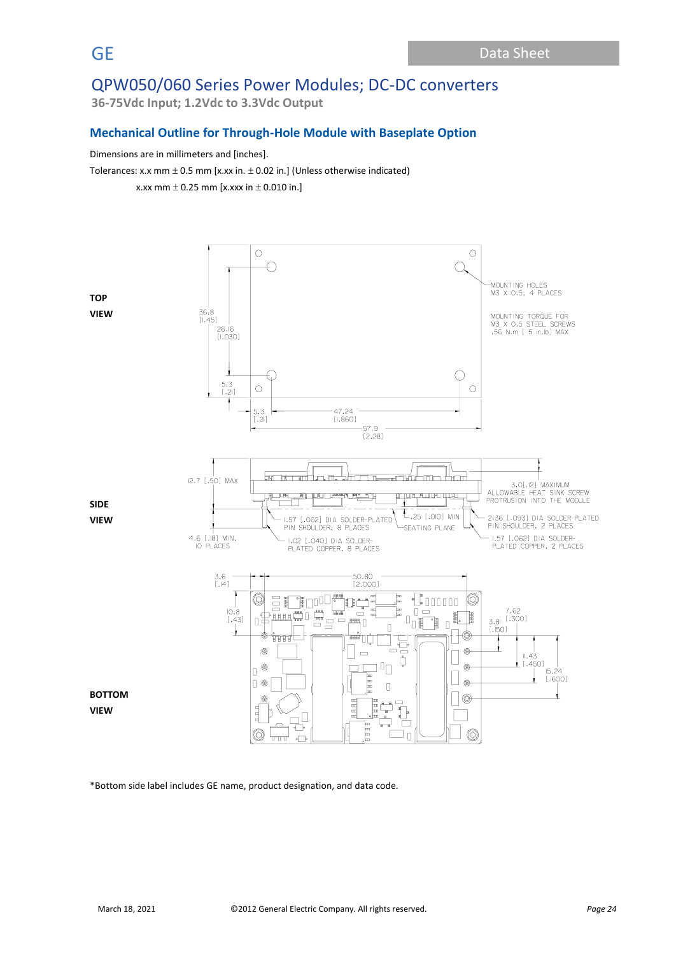**36-75Vdc Input; 1.2Vdc to 3.3Vdc Output**

### **Mechanical Outline for Through-Hole Module with Baseplate Option**

#### Dimensions are in millimeters and [inches].

Tolerances: x.x mm  $\pm$  0.5 mm [x.xx in.  $\pm$  0.02 in.] (Unless otherwise indicated)

x.xx mm  $\pm$  0.25 mm [x.xxx in  $\pm$  0.010 in.]



\*Bottom side label includes GE name, product designation, and data code.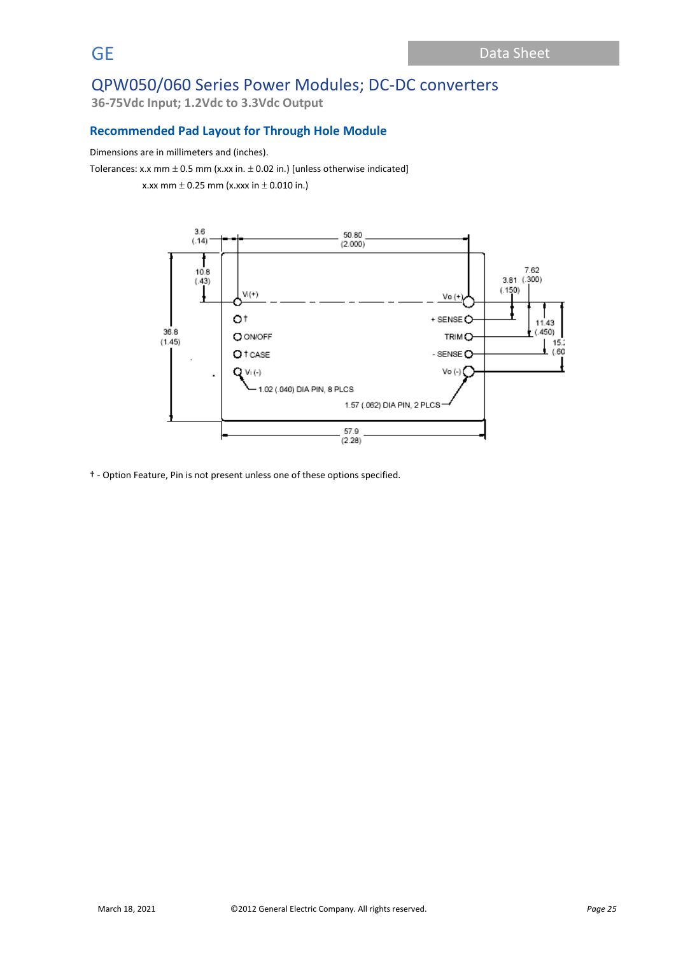**36-75Vdc Input; 1.2Vdc to 3.3Vdc Output**

#### **Recommended Pad Layout for Through Hole Module**

Dimensions are in millimeters and (inches).

Tolerances: x.x mm  $\pm$  0.5 mm (x.xx in.  $\pm$  0.02 in.) [unless otherwise indicated]

x.xx mm  $\pm$  0.25 mm (x.xxx in  $\pm$  0.010 in.)



† - Option Feature, Pin is not present unless one of these options specified.